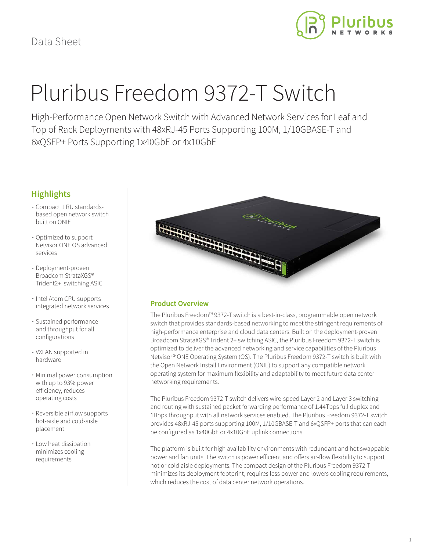

# Pluribus Freedom 9372-T Switch

High-Performance Open Network Switch with Advanced Network Services for Leaf and Top of Rack Deployments with 48xRJ-45 Ports Supporting 100M, 1/10GBASE-T and 6xQSFP+ Ports Supporting 1x40GbE or 4x10GbE

# **Highlights**

- Compact 1 RU standardsbased open network switch built on ONIE
- Optimized to support Netvisor ONE OS advanced services
- Deployment-proven Broadcom StrataXGS® Trident2+ switching ASIC
- Intel Atom CPU supports integrated network services
- Sustained performance and throughput for all configurations
- VXLAN supported in hardware
- Minimal power consumption with up to 93% power efficiency, reduces operating costs
- Reversible airflow supports hot-aisle and cold-aisle placement
- Low heat dissipation minimizes cooling requirements



# **Product Overview**

The Pluribus Freedom™ 9372-T switch is a best-in-class, programmable open network switch that provides standards-based networking to meet the stringent requirements of high-performance enterprise and cloud data centers. Built on the deployment-proven Broadcom StrataXGS® Trident 2+ switching ASIC, the Pluribus Freedom 9372-T switch is optimized to deliver the advanced networking and service capabilities of the Pluribus Netvisor® ONE Operating System (OS). The Pluribus Freedom 9372-T switch is built with the Open Network Install Environment (ONIE) to support any compatible network operating system for maximum flexibility and adaptability to meet future data center networking requirements.

The Pluribus Freedom 9372-T switch delivers wire-speed Layer 2 and Layer 3 switching and routing with sustained packet forwarding performance of 1.44Tbps full duplex and 1Bpps throughput with all network services enabled. The Pluribus Freedom 9372-T switch provides 48xRJ-45 ports supporting 100M, 1/10GBASE-T and 6xQSFP+ ports that can each be configured as 1x40GbE or 4x10GbE uplink connections.

The platform is built for high availability environments with redundant and hot swappable power and fan units. The switch is power efficient and offers air-flow flexibility to support hot or cold aisle deployments. The compact design of the Pluribus Freedom 9372-T minimizes its deployment footprint, requires less power and lowers cooling requirements, which reduces the cost of data center network operations.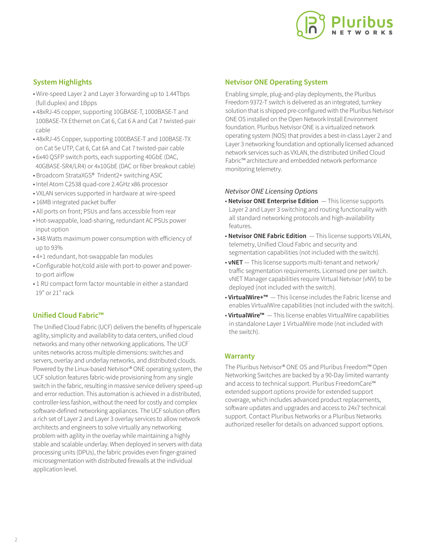

# **System Highlights**

- Wire-speed Layer 2 and Layer 3 forwarding up to 1.44Tbps (full duplex) and 1Bpps
- 48xRJ-45 copper, supporting 10GBASE-T, 1000BASE-T and 100BASE-TX Ethernet on Cat 6, Cat 6 A and Cat 7 twisted-pair cable
- 48xRJ-45 Copper, supporting 1000BASE-T and 100BASE-TX on Cat 5e UTP, Cat 6, Cat 6A and Cat 7 twisted-pair cable
- 6x40 QSFP switch ports, each supporting 40GbE (DAC, 40GBASE-SR4/LR4) or 4x10GbE (DAC or fiber breakout cable)
- Broadcom StrataXGS® Trident2+ switching ASIC
- Intel Atom C2538 quad-core 2.4GHz x86 processor
- VXLAN services supported in hardware at wire-speed
- 16MB integrated packet buffer
- All ports on front; PSUs and fans accessible from rear
- Hot-swappable, load-sharing, redundant AC PSUs power input option
- 348 Watts maximum power consumption with efficiency of up to 93%
- 4+1 redundant, hot-swappable fan modules
- Configurable hot/cold aisle with port-to-power and power to-port airflow
- 1 RU compact form factor mountable in either a standard 19" or 21" rack

# **Unified Cloud Fabric™**

The Unified Cloud Fabric (UCF) delivers the benefits of hyperscale agility, simplicity and availability to data centers, unified cloud networks and many other networking applications. The UCF unites networks across multiple dimensions: switches and servers, overlay and underlay networks, and distributed clouds. Powered by the Linux-based Netvisor® ONE operating system, the UCF solution features fabric-wide provisioning from any single switch in the fabric, resulting in massive service delivery speed-up and error reduction. This automation is achieved in a distributed, controller-less fashion, without the need for costly and complex software-defined networking appliances. The UCF solution offers a rich set of Layer 2 and Layer 3 overlay services to allow network architects and engineers to solve virtually any networking problem with agility in the overlay while maintaining a highly stable and scalable underlay. When deployed in servers with data processing units (DPUs), the fabric provides even finger-grained microsegmentation with distributed firewalls at the individual application level.

# **Netvisor ONE Operating System**

Enabling simple, plug-and-play deployments, the Pluribus Freedom 9372-T switch is delivered as an integrated, turnkey solution that is shipped pre-configured with the Pluribus Netvisor ONE OS installed on the Open Network Install Environment foundation. Pluribus Netvisor ONE is a virtualized network operating system (NOS) that provides a best-in-class Layer 2 and Layer 3 networking foundation and optionally licensed advanced network services such as VXLAN, the distributed Unified Cloud Fabric™ architecture and embedded network performance monitoring telemetry.

# *Netvisor ONE Licensing Options*

- **Netvisor ONE Enterprise Edition**  This license supports Layer 2 and Layer 3 switching and routing functionality with all standard networking protocols and high-availability features.
- **Netvisor ONE Fabric Edition**  This license supports VXLAN, telemetry, Unified Cloud Fabric and security and segmentation capabilities (not included with the switch).
- **vNET**  This license supports multi-tenant and network/ traffic segmentation requirements. Licensed one per switch. vNET Manager capabilities require Virtual Netvisor (vNV) to be deployed (not included with the switch).
- **VirtualWire+™**  This license includes the Fabric license and enables VirtualWire capabilities (not included with the switch).
- **VirtualWire™**  This license enables VirtualWire capabilities in standalone Layer 1 VirtualWire mode (not included with the switch).

# **Warranty**

The Pluribus Netvisor® ONE OS and Pluribus Freedom™ Open Networking Switches are backed by a 90-Day limited warranty and access to technical support. Pluribus FreedomCare™ extended support options provide for extended support coverage, which includes advanced product replacements, software updates and upgrades and access to 24x7 technical support. Contact Pluribus Networks or a Pluribus Networks authorized reseller for details on advanced support options.